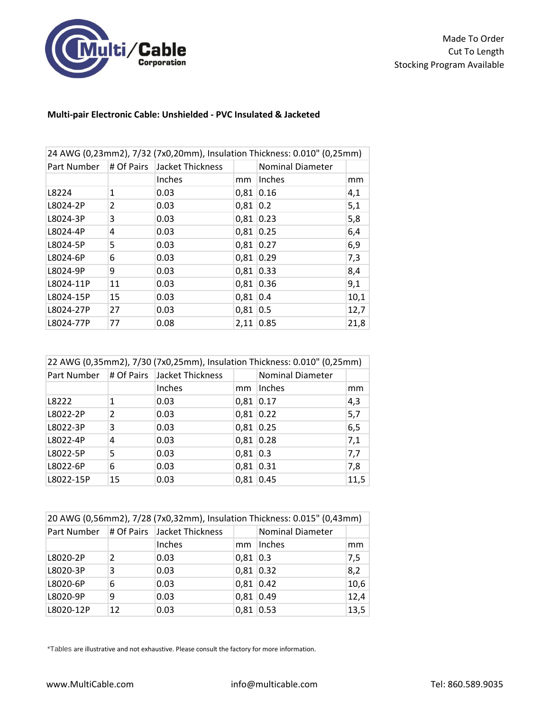

## **Multi-pair Electronic Cable: Unshielded - PVC Insulated & Jacketed**

| 24 AWG (0,23mm2), 7/32 (7x0,20mm), Insulation Thickness: 0.010" (0,25mm) |                |                             |             |                         |      |
|--------------------------------------------------------------------------|----------------|-----------------------------|-------------|-------------------------|------|
| Part Number                                                              |                | # Of Pairs Jacket Thickness |             | <b>Nominal Diameter</b> |      |
|                                                                          |                | Inches                      | mm          | Inches                  | mm   |
| L8224                                                                    | 1              | 0.03                        | 0,81        | 0.16                    | 4,1  |
| L8024-2P                                                                 | $\overline{2}$ | 0.03                        | $0,81$ 0.2  |                         | 5,1  |
| L8024-3P                                                                 | 3              | 0.03                        | $0,81$ 0.23 |                         | 5,8  |
| L8024-4P                                                                 | 4              | 0.03                        | 0,81 0.25   |                         | 6,4  |
| L8024-5P                                                                 | 5              | 0.03                        | $0.81$ 0.27 |                         | 6,9  |
| L8024-6P                                                                 | 6              | 0.03                        | $0,81$ 0.29 |                         | 7,3  |
| L8024-9P                                                                 | 9              | 0.03                        | 0,81 0.33   |                         | 8,4  |
| L8024-11P                                                                | 11             | 0.03                        | $0,81$ 0.36 |                         | 9,1  |
| L8024-15P                                                                | 15             | 0.03                        | $0,81$ 0.4  |                         | 10,1 |
| L8024-27P                                                                | 27             | 0.03                        | $0,81$ 0.5  |                         | 12,7 |
| L8024-77P                                                                | 77             | 0.08                        | $2,11$ 0.85 |                         | 21,8 |

| 22 AWG (0,35mm2), 7/30 (7x0,25mm), Insulation Thickness: 0.010" (0,25mm) |               |                             |             |                         |      |
|--------------------------------------------------------------------------|---------------|-----------------------------|-------------|-------------------------|------|
| Part Number                                                              |               | # Of Pairs Jacket Thickness |             | <b>Nominal Diameter</b> |      |
|                                                                          |               | Inches                      | mm          | Inches                  | mm   |
| L8222                                                                    | 1             | 0.03                        | $0,81$ 0.17 |                         | 4,3  |
| L8022-2P                                                                 | $\mathcal{P}$ | 0.03                        | $0,81$ 0.22 |                         | 5,7  |
| L8022-3P                                                                 | 3             | 0.03                        | $0,81$ 0.25 |                         | 6,5  |
| L8022-4P                                                                 | 4             | 0.03                        | 0,81 0.28   |                         | 7,1  |
| L8022-5P                                                                 | 5             | 0.03                        | $0,81$ 0.3  |                         | 7,7  |
| L8022-6P                                                                 | 6             | 0.03                        | 0,81        | 0.31                    | 7,8  |
| L8022-15P                                                                | 15            | 0.03                        | 0.81        | 0.45                    | 11,5 |

| 20 AWG (0,56mm2), 7/28 (7x0,32mm), Insulation Thickness: 0.015" (0,43mm) |    |                                             |             |                         |      |
|--------------------------------------------------------------------------|----|---------------------------------------------|-------------|-------------------------|------|
|                                                                          |    | Part Number   # Of Pairs   Jacket Thickness |             | <b>Nominal Diameter</b> |      |
|                                                                          |    | Inches                                      | mm          | Inches                  | mm   |
| L8020-2P                                                                 | 2  | 0.03                                        | $0,81$ 0.3  |                         | 7,5  |
| L8020-3P                                                                 | 3  | 0.03                                        | $0,81$ 0.32 |                         | 8,2  |
| L8020-6P                                                                 | 6  | 0.03                                        | $0,81$ 0.42 |                         | 10,6 |
| L8020-9P                                                                 | 9  | 0.03                                        | $0.81$ 0.49 |                         | 12,4 |
| L8020-12P                                                                | 12 | 0.03                                        | $0,81$ 0.53 |                         | 13,5 |

\*Tables are illustrative and not exhaustive. Please consult the factory for more information.